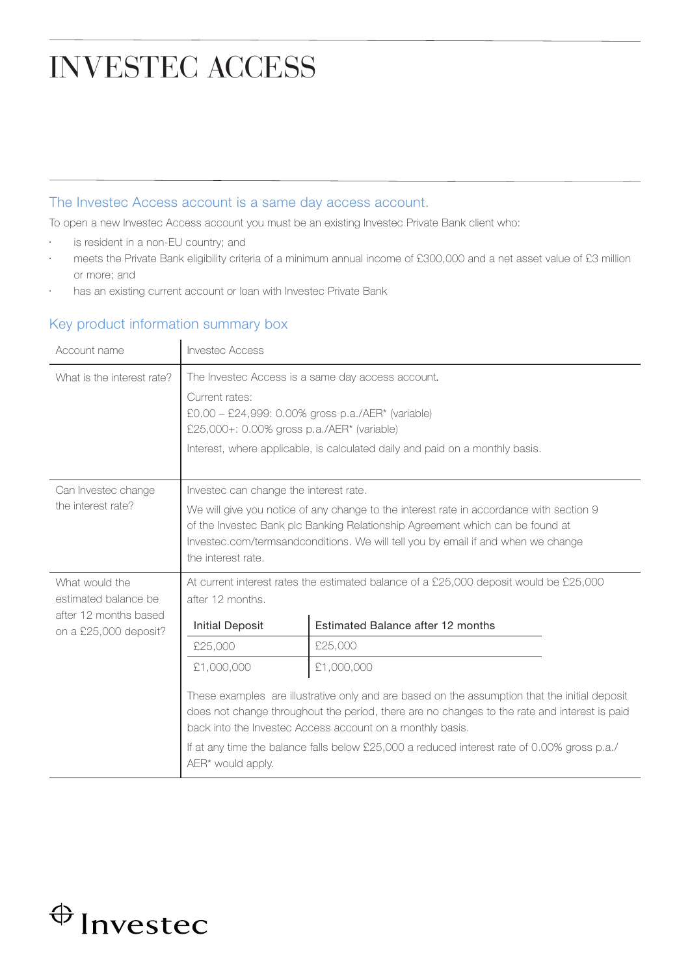## INVESTEC ACCESS

## The Investec Access account is a same day access account.

To open a new Investec Access account you must be an existing Investec Private Bank client who:

- is resident in a non-EU country; and
- meets the Private Bank eligibility criteria of a minimum annual income of £300,000 and a net asset value of £3 million or more; and
- has an existing current account or loan with Investec Private Bank

## Key product information summary box

| Account name                                                                             | <b>Invested Access</b>                                                                                                                                                                                                                                                                                                                                                                                     |                                                                                                                            |
|------------------------------------------------------------------------------------------|------------------------------------------------------------------------------------------------------------------------------------------------------------------------------------------------------------------------------------------------------------------------------------------------------------------------------------------------------------------------------------------------------------|----------------------------------------------------------------------------------------------------------------------------|
| What is the interest rate?                                                               | The Investec Access is a same day access account.<br>Current rates:<br>$£0.00 - £24,999: 0.00%$ gross p.a./AER* (variable)<br>£25,000+: 0.00% gross p.a./AER* (variable)<br>Interest, where applicable, is calculated daily and paid on a monthly basis.                                                                                                                                                   |                                                                                                                            |
| Can Investec change<br>the interest rate?                                                | Investec can change the interest rate.<br>We will give you notice of any change to the interest rate in accordance with section 9<br>of the Investec Bank plc Banking Relationship Agreement which can be found at<br>Investec.com/termsandconditions. We will tell you by email if and when we change<br>the interest rate.                                                                               |                                                                                                                            |
| What would the<br>estimated balance be<br>after 12 months based<br>on a £25,000 deposit? | after 12 months.<br><b>Initial Deposit</b>                                                                                                                                                                                                                                                                                                                                                                 | At current interest rates the estimated balance of a £25,000 deposit would be £25,000<br>Estimated Balance after 12 months |
|                                                                                          | £25,000                                                                                                                                                                                                                                                                                                                                                                                                    | £25,000                                                                                                                    |
|                                                                                          | £1,000,000<br>£1,000,000<br>These examples are illustrative only and are based on the assumption that the initial deposit<br>does not change throughout the period, there are no changes to the rate and interest is paid<br>back into the Investec Access account on a monthly basis.<br>If at any time the balance falls below £25,000 a reduced interest rate of 0.00% gross p.a./<br>AER* would apply. |                                                                                                                            |